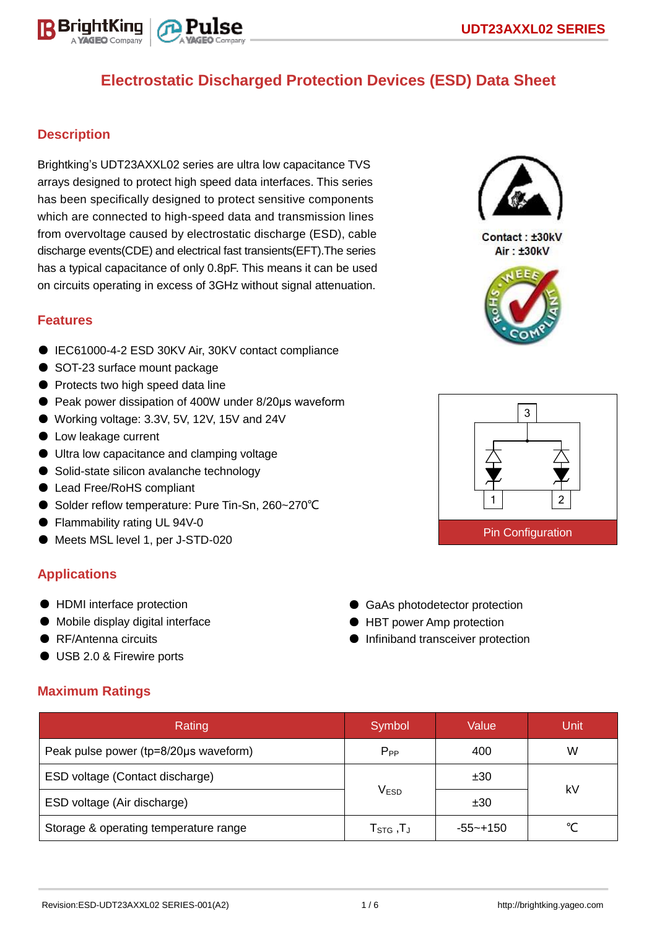

## **Description**

Brightking's UDT23AXXL02 series are ultra low capacitance TVS arrays designed to protect high speed data interfaces. This series has been specifically designed to protect sensitive components which are connected to high-speed data and transmission lines from overvoltage caused by electrostatic discharge (ESD), cable discharge events(CDE) and electrical fast transients(EFT).The series has a typical capacitance of only 0.8pF. This means it can be used on circuits operating in excess of 3GHz without signal attenuation.

## **Features**

- IEC61000-4-2 ESD 30KV Air, 30KV contact compliance
- SOT-23 surface mount package
- Protects two high speed data line
- Peak power dissipation of 400W under 8/20μs waveform
- Working voltage: 3.3V, 5V, 12V, 15V and 24V
- Low leakage current
- Ultra low capacitance and clamping voltage
- Solid-state silicon avalanche technology
- Lead Free/RoHS compliant
- Solder reflow temperature: Pure Tin-Sn, 260~270°C
- Flammability rating UL 94V-0
- Meets MSL level 1, per J-STD-020

## **Applications**

- HDMI interface protection
- Mobile display digital interface
- RF/Antenna circuits
- USB 2.0 & Firewire ports

## **Maximum Ratings**

| Rating                                | Symbol                           | Value       | Unit |
|---------------------------------------|----------------------------------|-------------|------|
| Peak pulse power (tp=8/20µs waveform) | $P_{PP}$                         | 400         | W    |
| ESD voltage (Contact discharge)       |                                  | ±30         |      |
| ESD voltage (Air discharge)           | <b>VESD</b>                      | ±30         | kV   |
| Storage & operating temperature range | $T_{\scriptstyle\text{STG}}$ ,TJ | $-55$ ~+150 |      |



Contact: ±30kV Air: ±30kV





● GaAs photodetector protection ● HBT power Amp protection ● Infiniband transceiver protection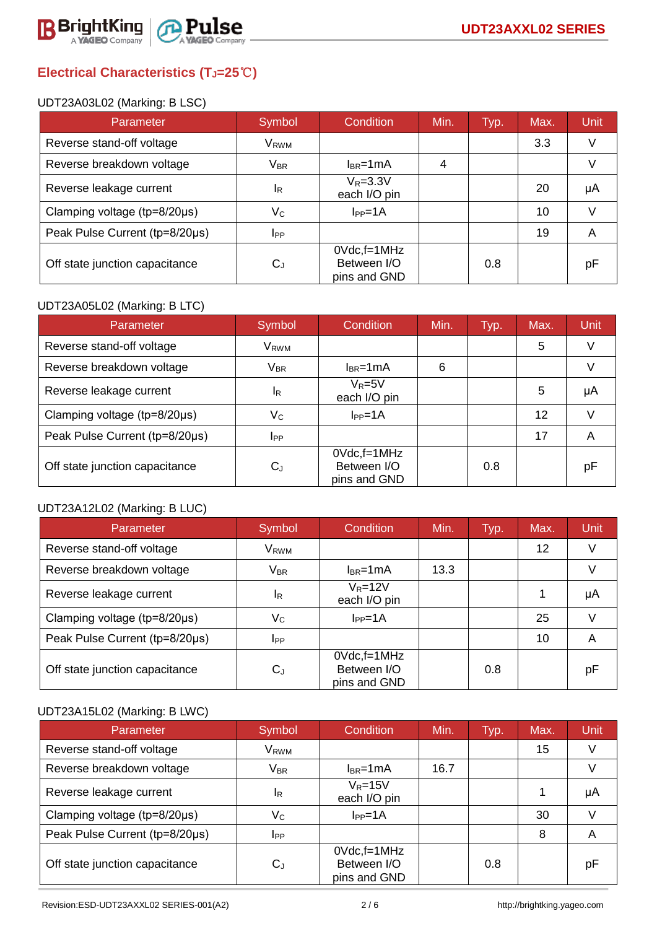

# **Electrical Characteristics (TJ=25**℃**)**

### UDT23A03L02 (Marking: B LSC)

| Parameter                              | Symbol                | Condition                                         | Min. | Typ. | Max. | Unit |
|----------------------------------------|-----------------------|---------------------------------------------------|------|------|------|------|
| Reverse stand-off voltage              | V <sub>RWM</sub>      |                                                   |      |      | 3.3  | V    |
| Reverse breakdown voltage              | <b>V<sub>BR</sub></b> | $I_{BR}$ =1mA                                     | 4    |      |      |      |
| Reverse leakage current                | <sup>I</sup> R        | $V_R = 3.3V$<br>each I/O pin                      |      |      | 20   | μA   |
| Clamping voltage ( $tp = 8/20 \mu s$ ) | $V_C$                 | $I_{PP} = 1A$                                     |      |      | 10   |      |
| Peak Pulse Current (tp=8/20µs)         | <b>I</b> PP           |                                                   |      |      | 19   | A    |
| Off state junction capacitance         | $C_{d}$               | $0Vdc$ , f=1 $MHz$<br>Between I/O<br>pins and GND |      | 0.8  |      | рF   |

### UDT23A05L02 (Marking: B LTC)

| Parameter                      | Symbol           | Condition                                    | Min. | Typ. | Max. | <b>Unit</b> |
|--------------------------------|------------------|----------------------------------------------|------|------|------|-------------|
| Reverse stand-off voltage      | V <sub>RWM</sub> |                                              |      |      | 5    |             |
| Reverse breakdown voltage      | $V_{BR}$         | $I_{BR}$ =1mA                                | 6    |      |      |             |
| Reverse leakage current        | ΙŖ               | $V_R = 5V$<br>each I/O pin                   |      |      | 5    | μA          |
| Clamping voltage (tp=8/20µs)   | $V_C$            | $I_{PP} = 1A$                                |      |      | 12   |             |
| Peak Pulse Current (tp=8/20µs) | <b>I</b> PP      |                                              |      |      | 17   | A           |
| Off state junction capacitance | $C_J$            | $0Vdc.f=1MHz$<br>Between I/O<br>pins and GND |      | 0.8  |      | рF          |

### UDT23A12L02 (Marking: B LUC)

| Parameter                      | Symbol                    | Condition                                         | Min. | Typ. | Max. | <b>Unit</b> |
|--------------------------------|---------------------------|---------------------------------------------------|------|------|------|-------------|
| Reverse stand-off voltage      | V <sub>RWM</sub>          |                                                   |      |      | 12   | V           |
| Reverse breakdown voltage      | <b>V<sub>BR</sub></b>     | $I_{BR}$ =1mA                                     | 13.3 |      |      |             |
| Reverse leakage current        | <sup>I</sup> R            | $V_R = 12V$<br>each I/O pin                       |      |      |      | μA          |
| Clamping voltage (tp=8/20µs)   | $\mathsf{V}_{\mathsf{C}}$ | $I_{PP} = 1A$                                     |      |      | 25   | V           |
| Peak Pulse Current (tp=8/20µs) | <b>I</b> <sub>PP</sub>    |                                                   |      |      | 10   | A           |
| Off state junction capacitance | $C_J$                     | $0Vdc$ , f=1 $MHz$<br>Between I/O<br>pins and GND |      | 0.8  |      | рF          |

## UDT23A15L02 (Marking: B LWC)

| Parameter                      | Symbol           | Condition                                         | Min. | Typ. | Max. | Unit |
|--------------------------------|------------------|---------------------------------------------------|------|------|------|------|
| Reverse stand-off voltage      | V <sub>RWM</sub> |                                                   |      |      | 15   | V    |
| Reverse breakdown voltage      | $V_{BR}$         | $I_{BR}$ =1mA                                     | 16.7 |      |      | V    |
| Reverse leakage current        | <sup>1</sup> R   | $V_R = 15V$<br>each I/O pin                       |      |      |      | μA   |
| Clamping voltage (tp=8/20µs)   | $V_C$            | $I_{PP}=1A$                                       |      |      | 30   |      |
| Peak Pulse Current (tp=8/20µs) | $_{\rm lpp}$     |                                                   |      |      | 8    | A    |
| Off state junction capacitance | $C_{J}$          | $0Vdc$ , f=1 $MHz$<br>Between I/O<br>pins and GND |      | 0.8  |      | рF   |

Revision:ESD-UDT23AXXL02 SERIES-001(A2) <br>
2/6 http://brightking.yageo.com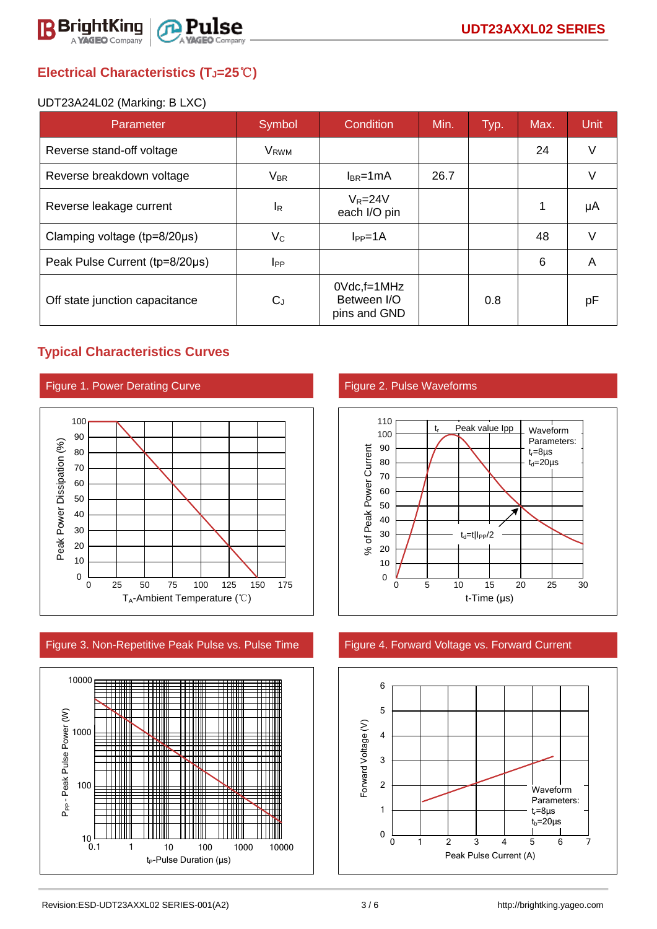

# **Electrical Characteristics (TJ=25**℃**)**

### UDT23A24L02 (Marking: B LXC)

| Parameter                              | Symbol                  | Condition                                      | Min. | Typ. | Max. | <b>Unit</b> |
|----------------------------------------|-------------------------|------------------------------------------------|------|------|------|-------------|
| Reverse stand-off voltage              | <b>V</b> <sub>RWM</sub> |                                                |      |      | 24   |             |
| Reverse breakdown voltage              | <b>V<sub>BR</sub></b>   | $l_{BR}$ =1mA                                  | 26.7 |      |      |             |
| Reverse leakage current                | <sup>I</sup> R          | $V_R = 24V$<br>each I/O pin                    |      |      |      | μA          |
| Clamping voltage ( $tp = 8/20 \mu s$ ) | $V_{\rm C}$             | $I_{PP} = 1A$                                  |      |      | 48   |             |
| Peak Pulse Current (tp=8/20µs)         | <b>I</b> <sub>PP</sub>  |                                                |      |      | 6    | A           |
| Off state junction capacitance         | $C_{J}$                 | $0$ Vdc, f=1MHz<br>Between I/O<br>pins and GND |      | 0.8  |      | рF          |

## **Typical Characteristics Curves**





### Figure 3. Non-Repetitive Peak Pulse vs. Pulse Time Figure 4. Forward Voltage vs. Forward Current





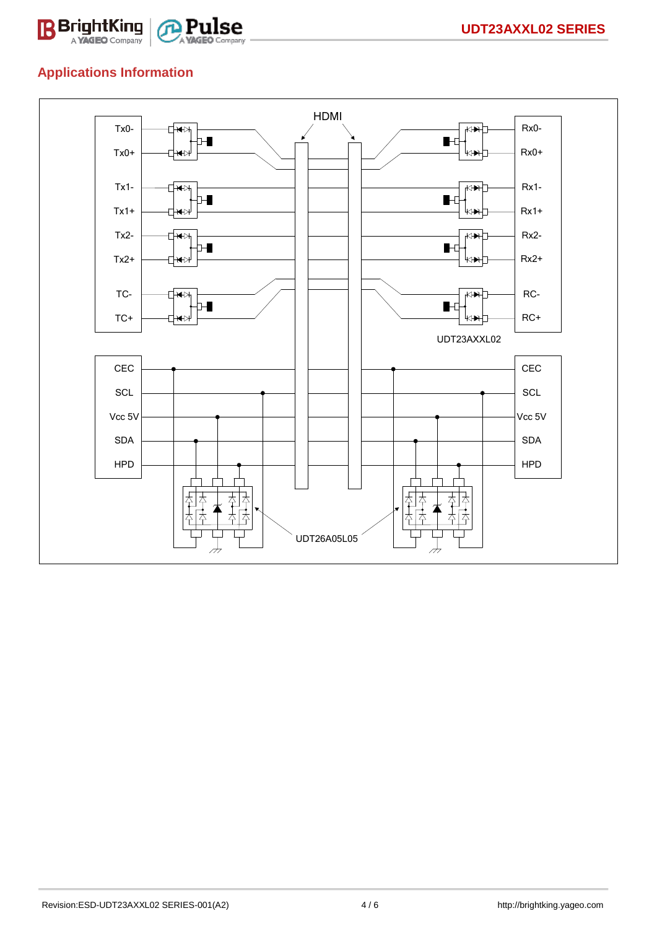

# **Applications Information**

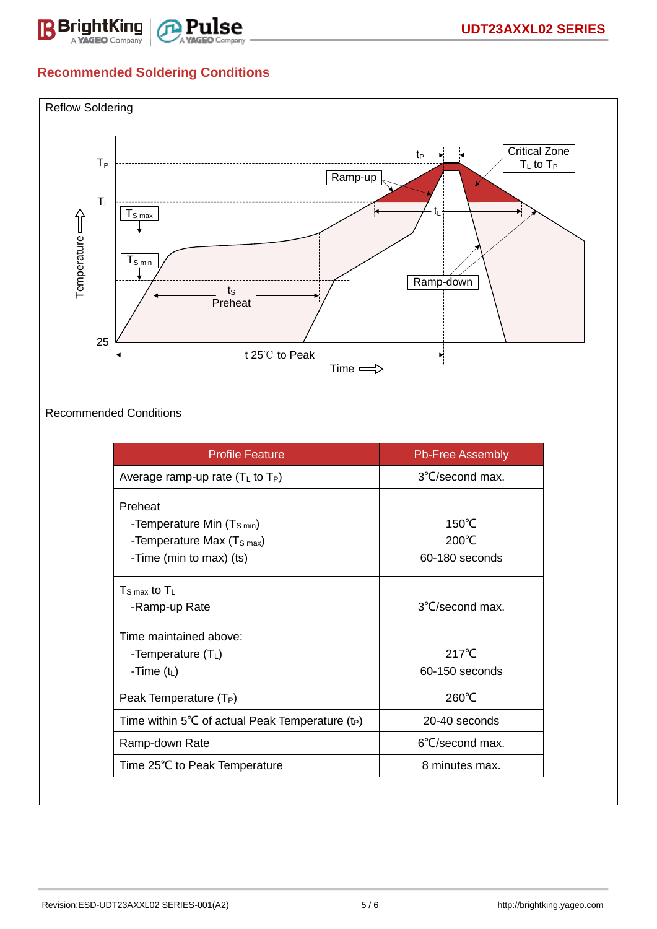

# **Recommended Soldering Conditions**